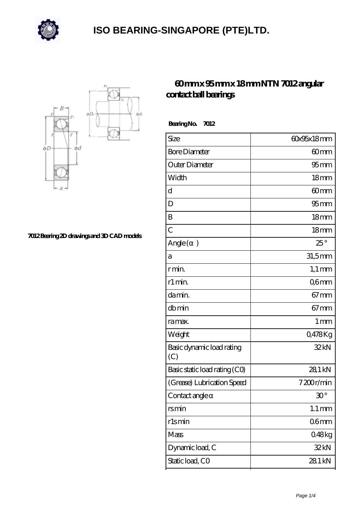



**[7012 Bearing 2D drawings and 3D CAD models](https://m.calvadosbnb.com/pic-65129381.html)**

### **[60 mm x 95 mm x 18 mm NTN 7012 angular](https://m.calvadosbnb.com/ntn-7012-bearing/) [contact ball bearings](https://m.calvadosbnb.com/ntn-7012-bearing/)**

| BearingNo.<br>7012               |                      |
|----------------------------------|----------------------|
| Size                             | 60x95x18mm           |
| <b>Bore Diameter</b>             | 60mm                 |
| Outer Diameter                   | $95$ <sub>mm</sub>   |
| Width                            | 18 <sub>mm</sub>     |
| d                                | 60 <sub>mm</sub>     |
| D                                | $95 \text{mm}$       |
| B                                | 18 <sub>mm</sub>     |
| $\overline{C}$                   | 18 <sub>mm</sub>     |
| Angle (<br>$\mathcal{E}$         | $25^{\circ}$         |
| a                                | $31,5$ mm            |
| r min.                           | $1,1 \, \mathrm{mm}$ |
| r1 min.                          | Q6mm                 |
| da min.                          | $67 \text{mm}$       |
| dbmin                            | $67 \text{mm}$       |
| ra max.                          | 1 <sub>mm</sub>      |
| Weight                           | 0,478Kg              |
| Basic dynamic load rating<br>(C) | 32kN                 |
| Basic static load rating (CO)    | 28,1 kN              |
| (Grease) Lubrication Speed       | 7200r/min            |
| Contact angle                    | $30^{\circ}$         |
| rsmin                            | $1.1 \, \text{mm}$   |
| rlsmin                           | 06 <sub>mm</sub>     |
| Mass                             | 048kg                |
| Dynamic load, C                  | 32kN                 |
| Static load, CO                  | 28.1 kN              |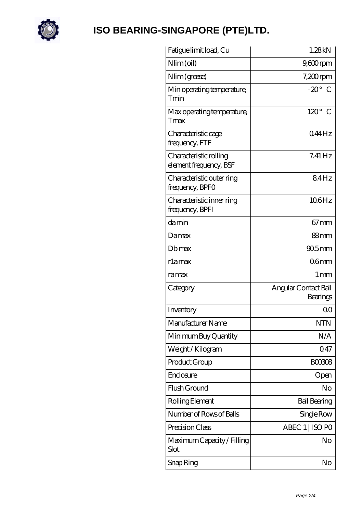

| 1.28kN                           |
|----------------------------------|
| $9,600$ rpm                      |
| $7,200$ rpm                      |
| $-20^\circ$ C                    |
| $120^\circ$ C                    |
| 044Hz                            |
| $7.41$ Hz                        |
| 84Hz                             |
| 106Hz                            |
| $67 \text{mm}$                   |
| 88mm                             |
| $905$ mm                         |
| 06 <sub>mm</sub>                 |
| 1 mm                             |
| Angular Contact Ball<br>Bearings |
| Q0                               |
| <b>NTN</b>                       |
| N/A                              |
| 0.47                             |
|                                  |
| <b>BOO308</b>                    |
| Open                             |
| No                               |
| <b>Ball Bearing</b>              |
| Single Row                       |
| ABEC 1   ISO PO                  |
| No                               |
|                                  |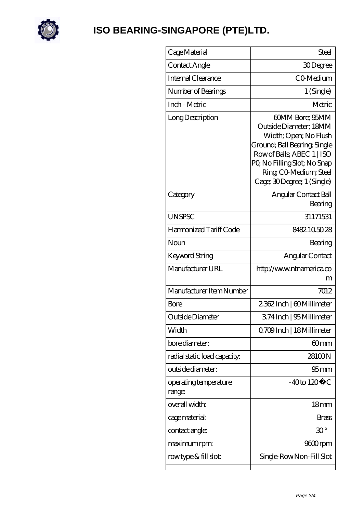

| Cage Material                   | <b>Steel</b>                                                                                                                                                                                                           |
|---------------------------------|------------------------------------------------------------------------------------------------------------------------------------------------------------------------------------------------------------------------|
| Contact Angle                   | 30Degree                                                                                                                                                                                                               |
| Internal Clearance              | CO-Medium                                                                                                                                                                                                              |
| Number of Bearings              | 1 (Single)                                                                                                                                                                                                             |
| Inch - Metric                   | Metric                                                                                                                                                                                                                 |
| Long Description                | 60MM Bore; 95MM<br>Outside Diameter; 18MM<br>Width; Open; No Flush<br>Ground; Ball Bearing; Single<br>Row of Balls, ABEC 1   ISO<br>PQ No Filling Slot; No Snap<br>Ring CO Medium; Steel<br>Cage; 30Degree; 1 (Single) |
| Category                        | Angular Contact Ball<br>Bearing                                                                                                                                                                                        |
| <b>UNSPSC</b>                   | 31171531                                                                                                                                                                                                               |
| Harmonized Tariff Code          | 8482.105028                                                                                                                                                                                                            |
| Noun                            | Bearing                                                                                                                                                                                                                |
| Keyword String                  | Angular Contact                                                                                                                                                                                                        |
| Manufacturer URL                | http://www.ntnamerica.co<br>m                                                                                                                                                                                          |
| Manufacturer Item Number        | 7012                                                                                                                                                                                                                   |
| Bore                            | 2362Inch   60Millimeter                                                                                                                                                                                                |
| Outside Diameter                | 374Inch   95 Millimeter                                                                                                                                                                                                |
| Width                           | Q709Inch   18 Millimeter                                                                                                                                                                                               |
| bore diameter:                  | 60mm                                                                                                                                                                                                                   |
| radial static load capacity:    | 28100N                                                                                                                                                                                                                 |
| outside diameter:               | 95 <sub>mm</sub>                                                                                                                                                                                                       |
| operating temperature<br>range: | $-40$ to $120^{\circ}$ C                                                                                                                                                                                               |
| overall width:                  | 18 <sub>mm</sub>                                                                                                                                                                                                       |
| cage material:                  | <b>Brass</b>                                                                                                                                                                                                           |
| contact angle:                  | $30^{\circ}$                                                                                                                                                                                                           |
| maximum rpm:                    | 9600rpm                                                                                                                                                                                                                |
| rowtype & fill slot:            | Single-RowNon-Fill Slot                                                                                                                                                                                                |
|                                 |                                                                                                                                                                                                                        |